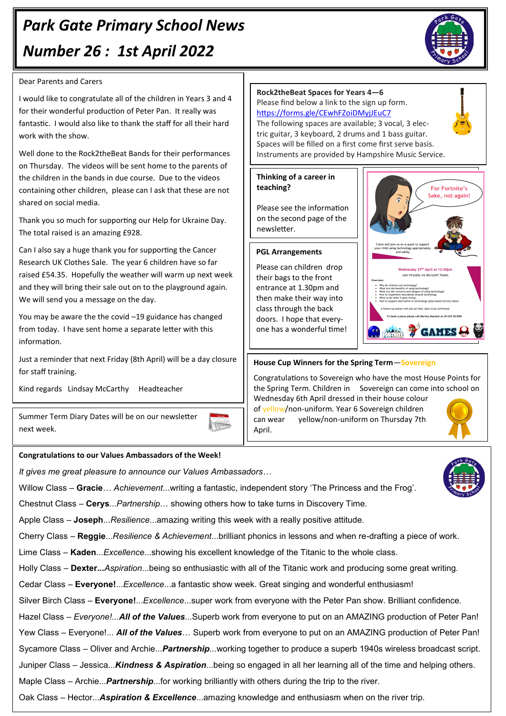# *Park Gate Primary School News Number 26 : 1st April 2022*



#### Dear Parents and Carers

I would like to congratulate all of the children in Years 3 and 4 for their wonderful production of Peter Pan. It really was fantastic. I would also like to thank the staff for all their hard work with the show.

Well done to the Rock2theBeat Bands for their performances on Thursday. The videos will be sent home to the parents of the children in the bands in due course. Due to the videos containing other children, please can I ask that these are not shared on social media.

Thank you so much for supporting our Help for Ukraine Day. The total raised is an amazing £928.

Can I also say a huge thank you for supporting the Cancer Research UK Clothes Sale. The year 6 children have so far raised £54.35. Hopefully the weather will warm up next week and they will bring their sale out on to the playground again. We will send you a message on the day.

You may be aware the the covid –19 guidance has changed from today. I have sent home a separate letter with this information.

Just a reminder that next Friday (8th April) will be a day closure for staff training.

Kind regards Lindsay McCarthy Headteacher

Summer Term Diary Dates will be on our newsletter next week.

### **Congratulations to our Values Ambassadors of the Week!**

*It gives me great pleasure to announce our Values Ambassadors…*

Willow Class – **Gracie**… *Achievement*...writing a fantastic, independent story 'The Princess and the Frog'.

 $\begin{picture}(120,115) \put(0,0){\line(1,0){15}} \put(0,0){\line(1,0){15}} \put(0,0){\line(1,0){15}} \put(0,0){\line(1,0){15}} \put(0,0){\line(1,0){15}} \put(0,0){\line(1,0){15}} \put(0,0){\line(1,0){15}} \put(0,0){\line(1,0){15}} \put(0,0){\line(1,0){15}} \put(0,0){\line(1,0){15}} \put(0,0){\line(1,0){15}} \put(0,0){\line(1,0){15}} \put($ 

Chestnut Class – **Cerys**...*Partnership*… showing others how to take turns in Discovery Time.

Apple Class – **Joseph**...*Resilience*...amazing writing this week with a really positive attitude.

Cherry Class – **Reggie**...*Resilience & Achievement*...brilliant phonics in lessons and when re-drafting a piece of work.

Lime Class – **Kaden**...*Excellence*...showing his excellent knowledge of the Titanic to the whole class.

Holly Class – **Dexter...***Aspiration*...being so enthusiastic with all of the Titanic work and producing some great writing.

Cedar Class – **Everyone!**...*Excellence*...a fantastic show week. Great singing and wonderful enthusiasm!

Silver Birch Class – **Everyone!**...*Excellence*...super work from everyone with the Peter Pan show. Brilliant confidence.

Hazel Class *– Everyone!...All of the Values...*Superb work from everyone to put on an AMAZING production of Peter Pan! Yew Class – Everyone!... *All of the Values*… Superb work from everyone to put on an AMAZING production of Peter Pan! Sycamore Class – Oliver and Archie...*Partnership...*working together to produce a superb 1940s wireless broadcast script.

Juniper Class – Jessica...*Kindness & Aspiration*...being so engaged in all her learning all of the time and helping others.

Maple Class – Archie...*Partnership*...for working brilliantly with others during the trip to the river.

Oak Class – Hector...*Aspiration & Excellence*...amazing knowledge and enthusiasm when on the river trip.



#### **Thinking of a career in teaching?**

Please see the information on the second page of the newsletter.

#### **PGL Arrangements**

Please can children drop their bags to the front entrance at 1.30pm and then make their way into class through the back doors. I hope that everyone has a wonderful time!



### **House Cup Winners for the Spring Term**—**Sovereign**

Congratulations to Sovereign who have the most House Points for the Spring Term. Children in Sovereign can come into school on Wednesday 6th April dressed in their house colour

of yellow/non-uniform. Year 6 Sovereign children can wear yellow/non-uniform on Thursday 7th April.